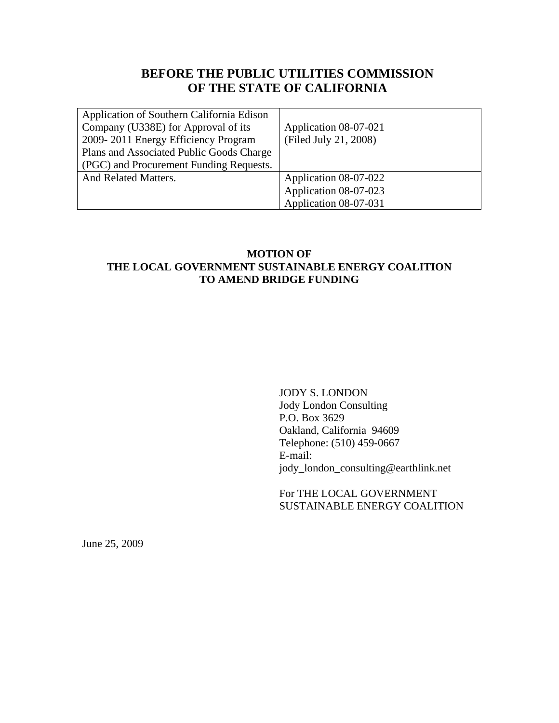# **BEFORE THE PUBLIC UTILITIES COMMISSION OF THE STATE OF CALIFORNIA**

| Application of Southern California Edison |                       |
|-------------------------------------------|-----------------------|
| Company (U338E) for Approval of its       | Application 08-07-021 |
| 2009-2011 Energy Efficiency Program       | (Filed July 21, 2008) |
| Plans and Associated Public Goods Charge  |                       |
| (PGC) and Procurement Funding Requests.   |                       |
| <b>And Related Matters.</b>               | Application 08-07-022 |
|                                           | Application 08-07-023 |
|                                           | Application 08-07-031 |

## **MOTION OF THE LOCAL GOVERNMENT SUSTAINABLE ENERGY COALITION TO AMEND BRIDGE FUNDING**

JODY S. LONDON Jody London Consulting P.O. Box 3629 Oakland, California 94609 Telephone: (510) 459-0667 E-mail: jody\_london\_consulting@earthlink.net

For THE LOCAL GOVERNMENT SUSTAINABLE ENERGY COALITION

June 25, 2009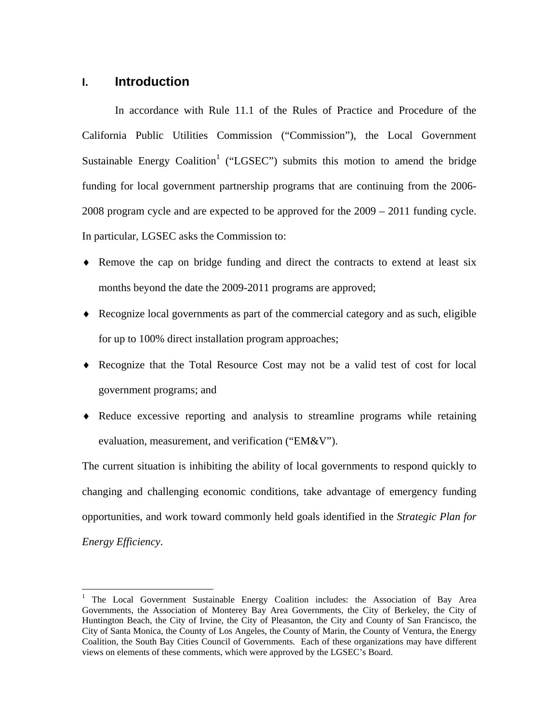# **I. Introduction**

1

In accordance with Rule 11.1 of the Rules of Practice and Procedure of the California Public Utilities Commission ("Commission"), the Local Government Sustainable Energy Coalition<sup>1</sup> ("LGSEC") submits this motion to amend the bridge funding for local government partnership programs that are continuing from the 2006- 2008 program cycle and are expected to be approved for the 2009 – 2011 funding cycle. In particular, LGSEC asks the Commission to:

- ♦ Remove the cap on bridge funding and direct the contracts to extend at least six months beyond the date the 2009-2011 programs are approved;
- ♦ Recognize local governments as part of the commercial category and as such, eligible for up to 100% direct installation program approaches;
- ♦ Recognize that the Total Resource Cost may not be a valid test of cost for local government programs; and
- ♦ Reduce excessive reporting and analysis to streamline programs while retaining evaluation, measurement, and verification ("EM&V").

The current situation is inhibiting the ability of local governments to respond quickly to changing and challenging economic conditions, take advantage of emergency funding opportunities, and work toward commonly held goals identified in the *Strategic Plan for Energy Efficiency*.

<sup>&</sup>lt;sup>1</sup> The Local Government Sustainable Energy Coalition includes: the Association of Bay Area Governments, the Association of Monterey Bay Area Governments, the City of Berkeley, the City of Huntington Beach, the City of Irvine, the City of Pleasanton, the City and County of San Francisco, the City of Santa Monica, the County of Los Angeles, the County of Marin, the County of Ventura, the Energy Coalition, the South Bay Cities Council of Governments. Each of these organizations may have different views on elements of these comments, which were approved by the LGSEC's Board.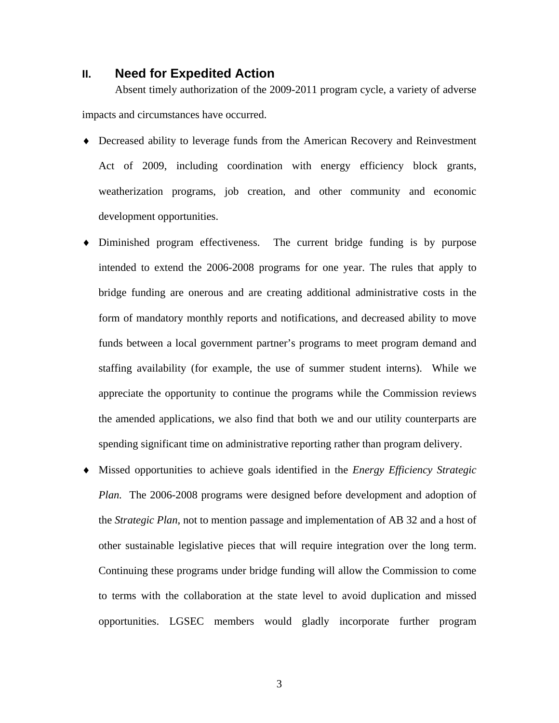#### **II. Need for Expedited Action**

Absent timely authorization of the 2009-2011 program cycle, a variety of adverse impacts and circumstances have occurred.

- ♦ Decreased ability to leverage funds from the American Recovery and Reinvestment Act of 2009, including coordination with energy efficiency block grants, weatherization programs, job creation, and other community and economic development opportunities.
- ♦ Diminished program effectiveness. The current bridge funding is by purpose intended to extend the 2006-2008 programs for one year. The rules that apply to bridge funding are onerous and are creating additional administrative costs in the form of mandatory monthly reports and notifications, and decreased ability to move funds between a local government partner's programs to meet program demand and staffing availability (for example, the use of summer student interns). While we appreciate the opportunity to continue the programs while the Commission reviews the amended applications, we also find that both we and our utility counterparts are spending significant time on administrative reporting rather than program delivery.
- ♦ Missed opportunities to achieve goals identified in the *Energy Efficiency Strategic Plan.* The 2006-2008 programs were designed before development and adoption of the *Strategic Plan*, not to mention passage and implementation of AB 32 and a host of other sustainable legislative pieces that will require integration over the long term. Continuing these programs under bridge funding will allow the Commission to come to terms with the collaboration at the state level to avoid duplication and missed opportunities. LGSEC members would gladly incorporate further program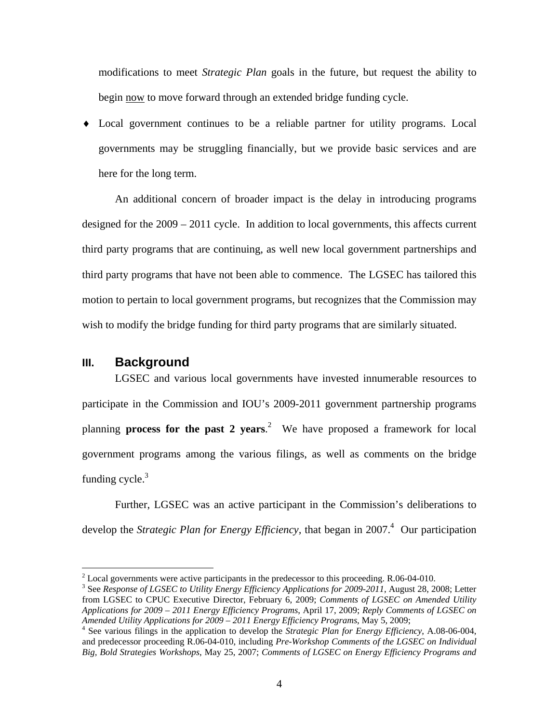modifications to meet *Strategic Plan* goals in the future, but request the ability to begin now to move forward through an extended bridge funding cycle.

♦ Local government continues to be a reliable partner for utility programs. Local governments may be struggling financially, but we provide basic services and are here for the long term.

 An additional concern of broader impact is the delay in introducing programs designed for the 2009 – 2011 cycle. In addition to local governments, this affects current third party programs that are continuing, as well new local government partnerships and third party programs that have not been able to commence. The LGSEC has tailored this motion to pertain to local government programs, but recognizes that the Commission may wish to modify the bridge funding for third party programs that are similarly situated.

#### **III. Background**

 $\overline{a}$ 

 LGSEC and various local governments have invested innumerable resources to participate in the Commission and IOU's 2009-2011 government partnership programs planning **process for the past 2 years**. 2 We have proposed a framework for local government programs among the various filings, as well as comments on the bridge funding cycle. $3$ 

 Further, LGSEC was an active participant in the Commission's deliberations to develop the *Strategic Plan for Energy Efficiency*, that began in 2007.<sup>4</sup> Our participation

<sup>&</sup>lt;sup>2</sup> Local governments were active participants in the predecessor to this proceeding. R.06-04-010.<br><sup>3</sup> See Bername of LCSEC to Utiling Francy Efficiency Applications for 2000, 2011, Aygust 28, 20

<sup>&</sup>lt;sup>3</sup> See *Response of LGSEC to Utility Energy Efficiency Applications for 2009-2011*, August 28, 2008; Letter from LGSEC to CPUC Executive Director, February 6, 2009; *Comments of LGSEC on Amended Utility Applications for 2009 – 2011 Energy Efficiency Programs*, April 17, 2009; *Reply Comments of LGSEC on Amended Utility Applications for 2009 – 2011 Energy Efficiency Programs*, May 5, 2009; 4

See various filings in the application to develop the *Strategic Plan for Energy Efficiency*, A.08-06-004, and predecessor proceeding R.06-04-010, including *Pre-Workshop Comments of the LGSEC on Individual Big, Bold Strategies Workshops*, May 25, 2007; *Comments of LGSEC on Energy Efficiency Programs and*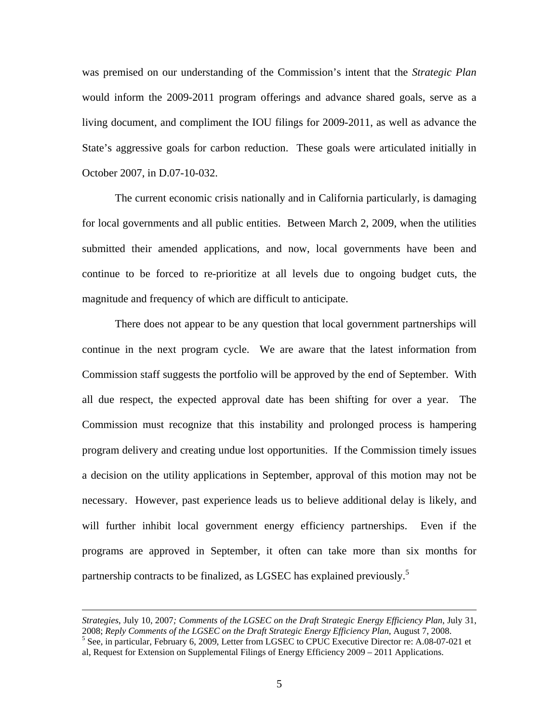was premised on our understanding of the Commission's intent that the *Strategic Plan*  would inform the 2009-2011 program offerings and advance shared goals, serve as a living document, and compliment the IOU filings for 2009-2011, as well as advance the State's aggressive goals for carbon reduction. These goals were articulated initially in October 2007, in D.07-10-032.

 The current economic crisis nationally and in California particularly, is damaging for local governments and all public entities. Between March 2, 2009, when the utilities submitted their amended applications, and now, local governments have been and continue to be forced to re-prioritize at all levels due to ongoing budget cuts, the magnitude and frequency of which are difficult to anticipate.

 There does not appear to be any question that local government partnerships will continue in the next program cycle. We are aware that the latest information from Commission staff suggests the portfolio will be approved by the end of September. With all due respect, the expected approval date has been shifting for over a year. The Commission must recognize that this instability and prolonged process is hampering program delivery and creating undue lost opportunities. If the Commission timely issues a decision on the utility applications in September, approval of this motion may not be necessary. However, past experience leads us to believe additional delay is likely, and will further inhibit local government energy efficiency partnerships. Even if the programs are approved in September, it often can take more than six months for partnership contracts to be finalized, as LGSEC has explained previously.<sup>5</sup>

 $\overline{a}$ 

*Strategies*, July 10, 2007*; Comments of the LGSEC on the Draft Strategic Energy Efficiency Plan*, July 31, 2008; *Reply Comments of the LGSEC on the Draft Strategic Energy Efficiency Plan*, August 7, 2008. <sup>5</sup> <sup>5</sup> See, in particular, February 6, 2009, Letter from LGSEC to CPUC Executive Director re: A.08-07-021 et

al, Request for Extension on Supplemental Filings of Energy Efficiency 2009 – 2011 Applications.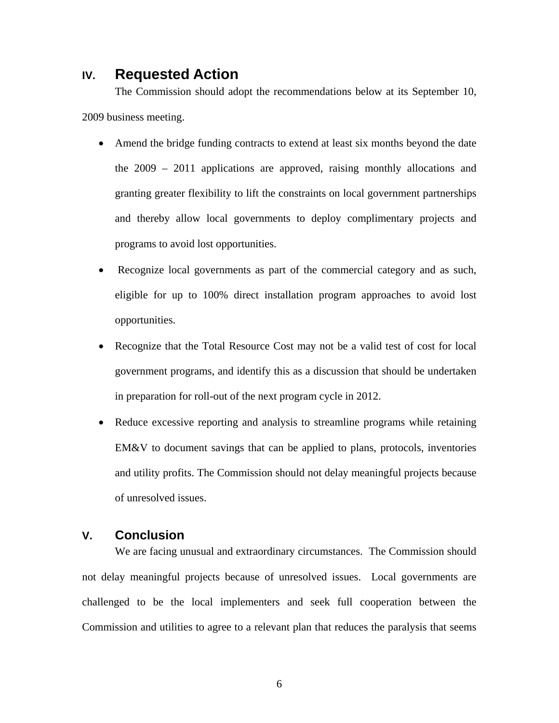# **IV. Requested Action**

 The Commission should adopt the recommendations below at its September 10, 2009 business meeting.

- Amend the bridge funding contracts to extend at least six months beyond the date the 2009 – 2011 applications are approved, raising monthly allocations and granting greater flexibility to lift the constraints on local government partnerships and thereby allow local governments to deploy complimentary projects and programs to avoid lost opportunities.
- Recognize local governments as part of the commercial category and as such, eligible for up to 100% direct installation program approaches to avoid lost opportunities.
- Recognize that the Total Resource Cost may not be a valid test of cost for local government programs, and identify this as a discussion that should be undertaken in preparation for roll-out of the next program cycle in 2012.
- Reduce excessive reporting and analysis to streamline programs while retaining EM&V to document savings that can be applied to plans, protocols, inventories and utility profits. The Commission should not delay meaningful projects because of unresolved issues.

### **V. Conclusion**

 We are facing unusual and extraordinary circumstances. The Commission should not delay meaningful projects because of unresolved issues. Local governments are challenged to be the local implementers and seek full cooperation between the Commission and utilities to agree to a relevant plan that reduces the paralysis that seems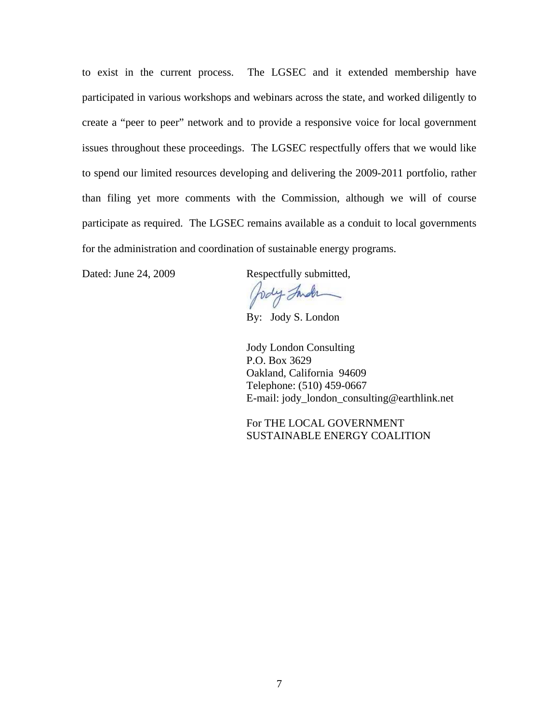to exist in the current process. The LGSEC and it extended membership have participated in various workshops and webinars across the state, and worked diligently to create a "peer to peer" network and to provide a responsive voice for local government issues throughout these proceedings. The LGSEC respectfully offers that we would like to spend our limited resources developing and delivering the 2009-2011 portfolio, rather than filing yet more comments with the Commission, although we will of course participate as required. The LGSEC remains available as a conduit to local governments for the administration and coordination of sustainable energy programs.

Dated: June 24, 2009 Respectfully submitted,

holy Inder

By: Jody S. London

 Jody London Consulting P.O. Box 3629 Oakland, California 94609 Telephone: (510) 459-0667 E-mail: jody\_london\_consulting@earthlink.net

 For THE LOCAL GOVERNMENT SUSTAINABLE ENERGY COALITION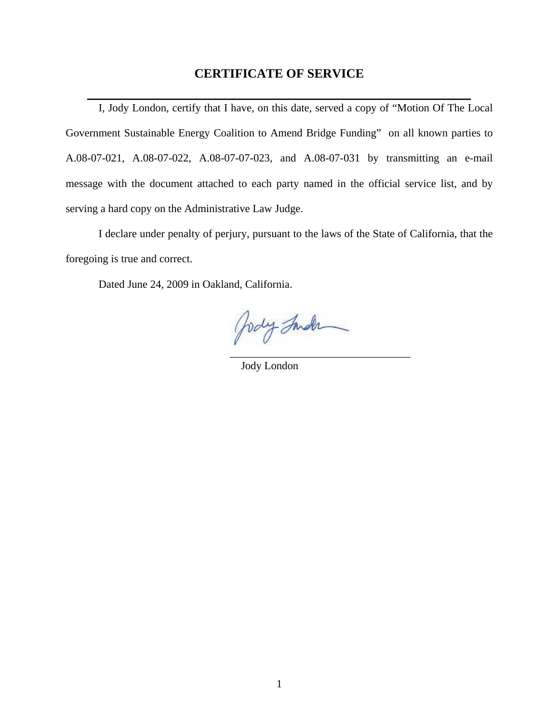## **CERTIFICATE OF SERVICE**

 **\_\_\_\_\_\_\_\_\_\_\_\_\_\_\_\_\_\_\_\_\_\_\_\_\_\_\_\_\_\_\_\_\_\_\_\_\_\_\_\_\_\_**

I, Jody London, certify that I have, on this date, served a copy of "Motion Of The Local Government Sustainable Energy Coalition to Amend Bridge Funding" on all known parties to A.08-07-021, A.08-07-022, A.08-07-07-023, and A.08-07-031 by transmitting an e-mail message with the document attached to each party named in the official service list, and by serving a hard copy on the Administrative Law Judge.

I declare under penalty of perjury, pursuant to the laws of the State of California, that the foregoing is true and correct.

Dated June 24, 2009 in Oakland, California.

Jody Inder  $\overline{\phantom{a}}$  , and the contract of the contract of the contract of the contract of the contract of the contract of the contract of the contract of the contract of the contract of the contract of the contract of the contrac

Jody London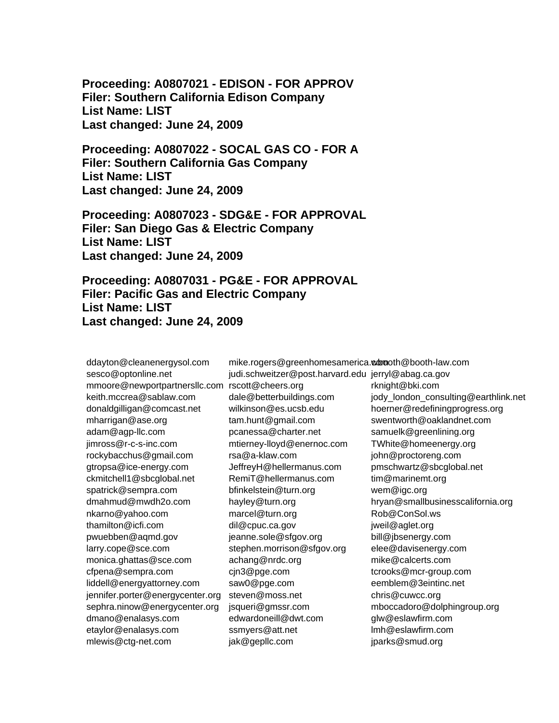**Proceeding: A0807021 - EDISON - FOR APPROV Filer: Southern California Edison Company List Name: LIST Last changed: June 24, 2009** 

**Proceeding: A0807022 - SOCAL GAS CO - FOR A Filer: Southern California Gas Company List Name: LIST Last changed: June 24, 2009** 

**Proceeding: A0807023 - SDG&E - FOR APPROVAL Filer: San Diego Gas & Electric Company List Name: LIST Last changed: June 24, 2009** 

**Proceeding: A0807031 - PG&E - FOR APPROVAL Filer: Pacific Gas and Electric Company List Name: LIST Last changed: June 24, 2009** 

ddayton@cleanenergysol.com sesco@optonline.net mmoore@newportpartnersllc.com keith.mccrea@sablaw.com donaldgilligan@comcast.net mharrigan@ase.org adam@agp-llc.com jimross@r-c-s-inc.com rockybacchus@gmail.com gtropsa@ice-energy.com ckmitchell1@sbcglobal.net spatrick@sempra.com dmahmud@mwdh2o.com nkarno@yahoo.com thamilton@icfi.com pwuebben@aqmd.gov larry.cope@sce.com monica.ghattas@sce.com cfpena@sempra.com liddell@energyattorney.com jennifer.porter@energycenter.org sephra.ninow@energycenter.org dmano@enalasys.com etaylor@enalasys.com mlewis@ctg-net.com

rscott@cheers.org dale@betterbuildings.com wilkinson@es.ucsb.edu tam.hunt@gmail.com pcanessa@charter.net mtierney-lloyd@enernoc.com rsa@a-klaw.com JeffreyH@hellermanus.com RemiT@hellermanus.com bfinkelstein@turn.org hayley@turn.org marcel@turn.org dil@cpuc.ca.gov jeanne.sole@sfgov.org stephen.morrison@sfgov.org achang@nrdc.org cjn3@pge.com saw0@pge.com steven@moss.net jsqueri@gmssr.com edwardoneill@dwt.com ssmyers@att.net jak@gepllc.com

mike.rogers@greenhomesamerica.www.oth@booth-law.com judi.schweitzer@post.harvard.edu jerryl@abag.ca.gov rknight@bki.com jody\_london\_consulting@earthlink.net hoerner@redefiningprogress.org swentworth@oaklandnet.com samuelk@greenlining.org TWhite@homeenergy.org john@proctoreng.com pmschwartz@sbcglobal.net tim@marinemt.org wem@igc.org hryan@smallbusinesscalifornia.org Rob@ConSol.ws jweil@aglet.org bill@jbsenergy.com elee@davisenergy.com mike@calcerts.com tcrooks@mcr-group.com eemblem@3eintinc.net chris@cuwcc.org mboccadoro@dolphingroup.org glw@eslawfirm.com lmh@eslawfirm.com jparks@smud.org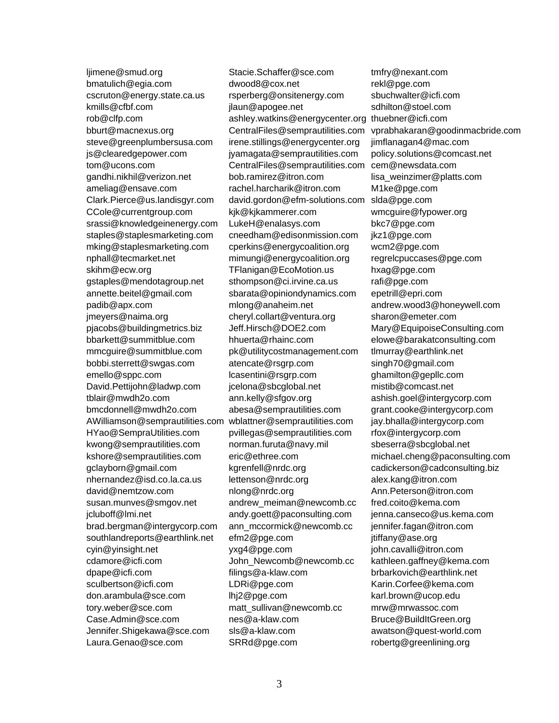ljimene@smud.org bmatulich@egia.com cscruton@energy.state.ca.us kmills@cfbf.com rob@clfp.com bburt@macnexus.org steve@greenplumbersusa.com js@clearedgepower.com tom@ucons.com gandhi.nikhil@verizon.net ameliag@ensave.com Clark.Pierce@us.landisgyr.com CCole@currentgroup.com srassi@knowledgeinenergy.com staples@staplesmarketing.com mking@staplesmarketing.com nphall@tecmarket.net skihm@ecw.org gstaples@mendotagroup.net annette.beitel@gmail.com padib@apx.com jmeyers@naima.org pjacobs@buildingmetrics.biz bbarkett@summitblue.com mmcguire@summitblue.com bobbi.sterrett@swgas.com emello@sppc.com David.Pettijohn@ladwp.com tblair@mwdh2o.com bmcdonnell@mwdh2o.com AWilliamson@semprautilities.com HYao@SempraUtilities.com kwong@semprautilities.com kshore@semprautilities.com gclayborn@gmail.com nhernandez@isd.co.la.ca.us david@nemtzow.com susan.munves@smgov.net jcluboff@lmi.net brad.bergman@intergycorp.com southlandreports@earthlink.net cyin@yinsight.net cdamore@icfi.com dpape@icfi.com sculbertson@icfi.com don.arambula@sce.com tory.weber@sce.com Case.Admin@sce.com Jennifer.Shigekawa@sce.com Laura.Genao@sce.com

Stacie.Schaffer@sce.com dwood8@cox.net rsperberg@onsitenergy.com jlaun@apogee.net ashley.watkins@energycenter.org CentralFiles@semprautilities.com irene.stillings@energycenter.org jyamagata@semprautilities.com CentralFiles@semprautilities.com bob.ramirez@itron.com rachel.harcharik@itron.com david.gordon@efm-solutions.com kjk@kjkammerer.com LukeH@enalasys.com cneedham@edisonmission.com cperkins@energycoalition.org mimungi@energycoalition.org TFlanigan@EcoMotion.us sthompson@ci.irvine.ca.us sbarata@opiniondynamics.com mlong@anaheim.net cheryl.collart@ventura.org Jeff.Hirsch@DOE2.com hhuerta@rhainc.com pk@utilitycostmanagement.com atencate@rsgrp.com lcasentini@rsgrp.com jcelona@sbcglobal.net ann.kelly@sfgov.org abesa@semprautilities.com wblattner@semprautilities.com pvillegas@semprautilities.com norman.furuta@navy.mil eric@ethree.com kgrenfell@nrdc.org lettenson@nrdc.org nlong@nrdc.org andrew\_meiman@newcomb.cc andy.goett@paconsulting.com ann\_mccormick@newcomb.cc efm2@pge.com yxg4@pge.com John\_Newcomb@newcomb.cc filings@a-klaw.com LDRi@pge.com lhj2@pge.com matt\_sullivan@newcomb.cc nes@a-klaw.com sls@a-klaw.com SRRd@pge.com

tmfry@nexant.com rekl@pge.com sbuchwalter@icfi.com sdhilton@stoel.com thuebner@icfi.com vprabhakaran@goodinmacbride.com jimflanagan4@mac.com policy.solutions@comcast.net cem@newsdata.com lisa\_weinzimer@platts.com M1ke@pge.com slda@pge.com wmcguire@fypower.org bkc7@pge.com jkz1@pge.com wcm2@pge.com regrelcpuccases@pge.com hxag@pge.com rafi@pge.com epetrill@epri.com andrew.wood3@honeywell.com sharon@emeter.com Mary@EquipoiseConsulting.com elowe@barakatconsulting.com tlmurray@earthlink.net singh70@gmail.com ghamilton@gepllc.com mistib@comcast.net ashish.goel@intergycorp.com grant.cooke@intergycorp.com jay.bhalla@intergycorp.com rfox@intergycorp.com sbeserra@sbcglobal.net michael.cheng@paconsulting.com cadickerson@cadconsulting.biz alex.kang@itron.com Ann.Peterson@itron.com fred.coito@kema.com jenna.canseco@us.kema.com jennifer.fagan@itron.com jtiffany@ase.org john.cavalli@itron.com kathleen.gaffney@kema.com brbarkovich@earthlink.net Karin.Corfee@kema.com karl.brown@ucop.edu mrw@mrwassoc.com Bruce@BuildItGreen.org awatson@quest-world.com robertg@greenlining.org